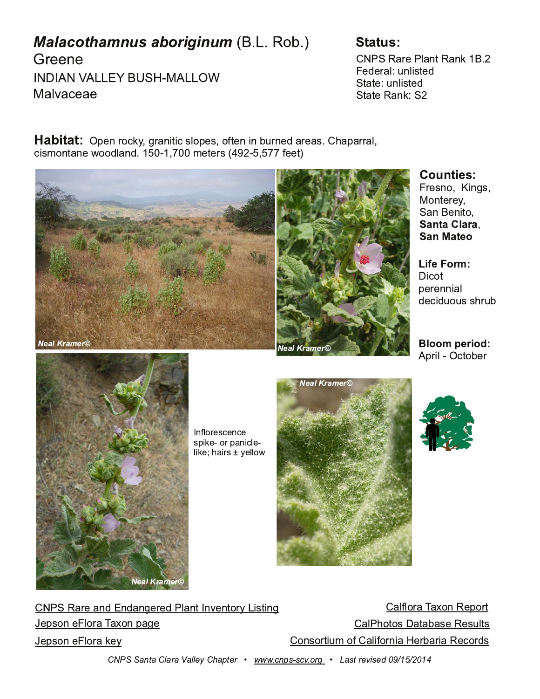| $\triangle$ 080<br>$\mathbf{u}$<br>$"$ ) | $+$ ( & ! | # $*$                                                                                                                                                        |     | $98\%$ < 0 \$68 >% 85<br>$0/0 < 6$ ?86 = $\sqrt{2}$<br>$8 \times 10^{78}$ |                        |  |          |      |
|------------------------------------------|-----------|--------------------------------------------------------------------------------------------------------------------------------------------------------------|-----|---------------------------------------------------------------------------|------------------------|--|----------|------|
| $\frac{1}{2}$ , 6 $\omega$ , 0, 0        |           |                                                                                                                                                              |     |                                                                           | $8 \times 10^{6}$ 85 & |  |          |      |
| $.4798 \times 8009/68/$                  |           | #: 08 $\triangleleft$ . 5C 2 $\triangleleft$ 844 = $\triangleleft$ 9: 0 = 91b 848 - ? $\triangleleft$ 0/, $\triangleleft$ , = 3, :, $\triangleleft$ 6<br>700 | 100 |                                                                           |                        |  |          |      |
|                                          |           |                                                                                                                                                              |     |                                                                           |                        |  | $A - 89$ | ΔRΟ. |

ช2= ປ=ຽ∀ ! 98>0<0C 8,8 0849

 $49$  $:0 - 08846$  $/ 0.4$  ?9? = = 3 $-$ 3 $-$ 3 $-$ 

:  $46$  # .  $9 - 0 <$ 

 $819 - 0 = 08.0$  $= 450$  9 <: , 84 \, 0 650 3, 4 ± E CO669A

 $9.88\%$  < 0, 8/ 8/, 820 < 0/ \$68 > 8 @ 8 > 4  $\star$  82  $, 669<$  , B98 %0: 9 $\infty$  $0: = 980$   $\textcircled{9} < 7.1898 : 20$  $.66392 = .7 - . = 0\%0 = ?6$  $98 = 9 \le 47$  91, 649  $-84$  0  $\le$ , 4  $\%$ 0. 9  $\le$  $0: = 980$   $\textcircled{9} < 50$ C